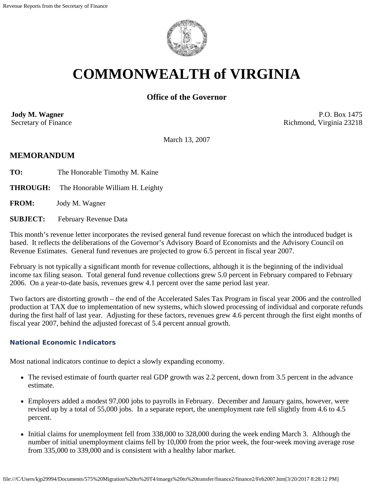

# **COMMONWEALTH of VIRGINIA**

# **Office of the Governor**

**Jody M. Wagner**  Secretary of Finance

P.O. Box 1475 Richmond, Virginia 23218

March 13, 2007

## **MEMORANDUM**

- **TO:** The Honorable Timothy M. Kaine
- **THROUGH:** The Honorable William H. Leighty

**FROM:** Jody M. Wagner

**SUBJECT:** February Revenue Data

This month's revenue letter incorporates the revised general fund revenue forecast on which the introduced budget is based. It reflects the deliberations of the Governor's Advisory Board of Economists and the Advisory Council on Revenue Estimates. General fund revenues are projected to grow 6.5 percent in fiscal year 2007.

February is not typically a significant month for revenue collections, although it is the beginning of the individual income tax filing season. Total general fund revenue collections grew 5.0 percent in February compared to February 2006. On a year-to-date basis, revenues grew 4.1 percent over the same period last year.

Two factors are distorting growth – the end of the Accelerated Sales Tax Program in fiscal year 2006 and the controlled production at TAX due to implementation of new systems, which slowed processing of individual and corporate refunds during the first half of last year. Adjusting for these factors, revenues grew 4.6 percent through the first eight months of fiscal year 2007, behind the adjusted forecast of 5.4 percent annual growth.

#### **National Economic Indicators**

Most national indicators continue to depict a slowly expanding economy.

- The revised estimate of fourth quarter real GDP growth was 2.2 percent, down from 3.5 percent in the advance estimate.
- Employers added a modest 97,000 jobs to payrolls in February. December and January gains, however, were revised up by a total of 55,000 jobs. In a separate report, the unemployment rate fell slightly from 4.6 to 4.5 percent.
- Initial claims for unemployment fell from 338,000 to 328,000 during the week ending March 3. Although the number of initial unemployment claims fell by 10,000 from the prior week, the four-week moving average rose from 335,000 to 339,000 and is consistent with a healthy labor market.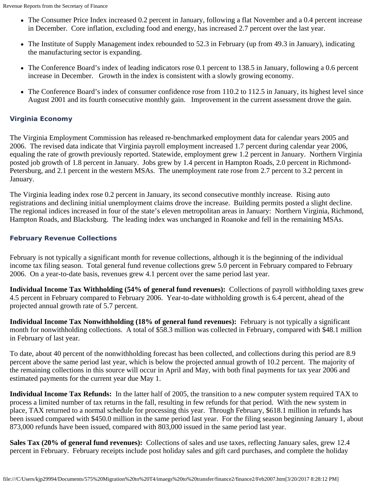- The Consumer Price Index increased 0.2 percent in January, following a flat November and a 0.4 percent increase in December. Core inflation, excluding food and energy, has increased 2.7 percent over the last year.
- The Institute of Supply Management index rebounded to 52.3 in February (up from 49.3 in January), indicating the manufacturing sector is expanding.
- The Conference Board's index of leading indicators rose 0.1 percent to 138.5 in January, following a 0.6 percent increase in December. Growth in the index is consistent with a slowly growing economy.
- The Conference Board's index of consumer confidence rose from 110.2 to 112.5 in January, its highest level since August 2001 and its fourth consecutive monthly gain. Improvement in the current assessment drove the gain.

#### **Virginia Economy**

The Virginia Employment Commission has released re-benchmarked employment data for calendar years 2005 and 2006. The revised data indicate that Virginia payroll employment increased 1.7 percent during calendar year 2006, equaling the rate of growth previously reported. Statewide, employment grew 1.2 percent in January. Northern Virginia posted job growth of 1.8 percent in January. Jobs grew by 1.4 percent in Hampton Roads, 2.0 percent in Richmond-Petersburg, and 2.1 percent in the western MSAs. The unemployment rate rose from 2.7 percent to 3.2 percent in January.

The Virginia leading index rose 0.2 percent in January, its second consecutive monthly increase. Rising auto registrations and declining initial unemployment claims drove the increase. Building permits posted a slight decline. The regional indices increased in four of the state's eleven metropolitan areas in January: Northern Virginia, Richmond, Hampton Roads, and Blacksburg. The leading index was unchanged in Roanoke and fell in the remaining MSAs.

#### **February Revenue Collections**

February is not typically a significant month for revenue collections, although it is the beginning of the individual income tax filing season. Total general fund revenue collections grew 5.0 percent in February compared to February 2006. On a year-to-date basis, revenues grew 4.1 percent over the same period last year.

**Individual Income Tax Withholding (54% of general fund revenues):** Collections of payroll withholding taxes grew 4.5 percent in February compared to February 2006. Year-to-date withholding growth is 6.4 percent, ahead of the projected annual growth rate of 5.7 percent.

**Individual Income Tax Nonwithholding (18% of general fund revenues):** February is not typically a significant month for nonwithholding collections. A total of \$58.3 million was collected in February, compared with \$48.1 million in February of last year.

To date, about 40 percent of the nonwithholding forecast has been collected, and collections during this period are 8.9 percent above the same period last year, which is below the projected annual growth of 10.2 percent. The majority of the remaining collections in this source will occur in April and May, with both final payments for tax year 2006 and estimated payments for the current year due May 1.

**Individual Income Tax Refunds:** In the latter half of 2005, the transition to a new computer system required TAX to process a limited number of tax returns in the fall, resulting in few refunds for that period. With the new system in place, TAX returned to a normal schedule for processing this year. Through February, \$618.1 million in refunds has been issued compared with \$450.0 million in the same period last year. For the filing season beginning January 1, about 873,000 refunds have been issued, compared with 803,000 issued in the same period last year.

**Sales Tax (20% of general fund revenues):** Collections of sales and use taxes, reflecting January sales, grew 12.4 percent in February. February receipts include post holiday sales and gift card purchases, and complete the holiday